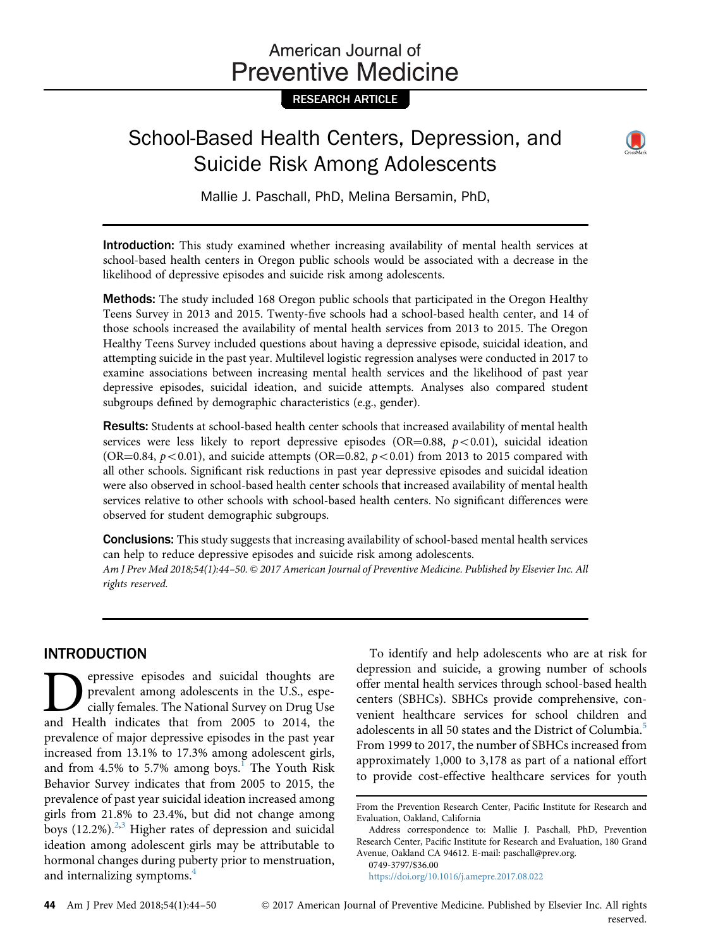## American Journal of **Preventive Medicine**

## RESEARCH ARTICLE

# School-Based Health Centers, Depression, and Suicide Risk Among Adolescents



Mallie J. Paschall, PhD, Melina Bersamin, PhD,

Introduction: This study examined whether increasing availability of mental health services at school-based health centers in Oregon public schools would be associated with a decrease in the likelihood of depressive episodes and suicide risk among adolescents.

**Methods:** The study included 168 Oregon public schools that participated in the Oregon Healthy Teens Survey in 2013 and 2015. Twenty-five schools had a school-based health center, and 14 of those schools increased the availability of mental health services from 2013 to 2015. The Oregon Healthy Teens Survey included questions about having a depressive episode, suicidal ideation, and attempting suicide in the past year. Multilevel logistic regression analyses were conducted in 2017 to examine associations between increasing mental health services and the likelihood of past year depressive episodes, suicidal ideation, and suicide attempts. Analyses also compared student subgroups defined by demographic characteristics (e.g., gender).

Results: Students at school-based health center schools that increased availability of mental health services were less likely to report depressive episodes (OR=0.88,  $p < 0.01$ ), suicidal ideation (OR=0.84,  $p < 0.01$ ), and suicide attempts (OR=0.82,  $p < 0.01$ ) from 2013 to 2015 compared with all other schools. Significant risk reductions in past year depressive episodes and suicidal ideation were also observed in school-based health center schools that increased availability of mental health services relative to other schools with school-based health centers. No significant differences were observed for student demographic subgroups.

Conclusions: This study suggests that increasing availability of school-based mental health services can help to reduce depressive episodes and suicide risk among adolescents. Am J Prev Med 2018;54(1):44-50. © 2017 American Journal of Preventive Medicine. Published by Elsevier Inc. All rights reserved.

## INTRODUCTION

**Depressive episodes and suicidal thoughts are prevalent among adolescents in the U.S., especially females. The National Survey on Drug Use and Health indicates that from 2005 to 2014, the** prevalent among adolescents in the U.S., especially females. The National Survey on Drug Use and Health indicates that from 2005 to 2014, the prevalence of major depressive episodes in the past year increased from 13.1% to 17.3% among adolescent girls, and from 4.5% to 5.7% among boys.<sup>1</sup> The Youth Risk Behavior Survey indicates that from 2005 to 2015, the prevalence of past year suicidal ideation increased among girls from 21.8% to 23.4%, but did not change among boys  $(12.2\%)$  $(12.2\%)$  $(12.2\%)$ <sup>2,[3](#page-6-0)</sup> Higher rates of depression and suicidal ideation among adolescent girls may be attributable to hormonal changes during puberty prior to menstruation, and internalizing symptoms.<sup>[4](#page-6-0)</sup>

To identify and help adolescents who are at risk for depression and suicide, a growing number of schools offer mental health services through school-based health centers (SBHCs). SBHCs provide comprehensive, convenient healthcare services for school children and adolescents in all [5](#page-6-0)0 states and the District of Columbia.<sup>5</sup> From 1999 to 2017, the number of SBHCs increased from approximately 1,000 to 3,178 as part of a national effort to provide cost-effective healthcare services for youth

<https://doi.org/10.1016/j.amepre.2017.08.022>

From the Prevention Research Center, Pacific Institute for Research and Evaluation, Oakland, California

Address correspondence to: Mallie J. Paschall, PhD, Prevention Research Center, Pacific Institute for Research and Evaluation, 180 Grand Avenue, Oakland CA 94612. E-mail: [paschall@prev.org.](mailto:paschall@prev.org) 0749-3797/\$36.00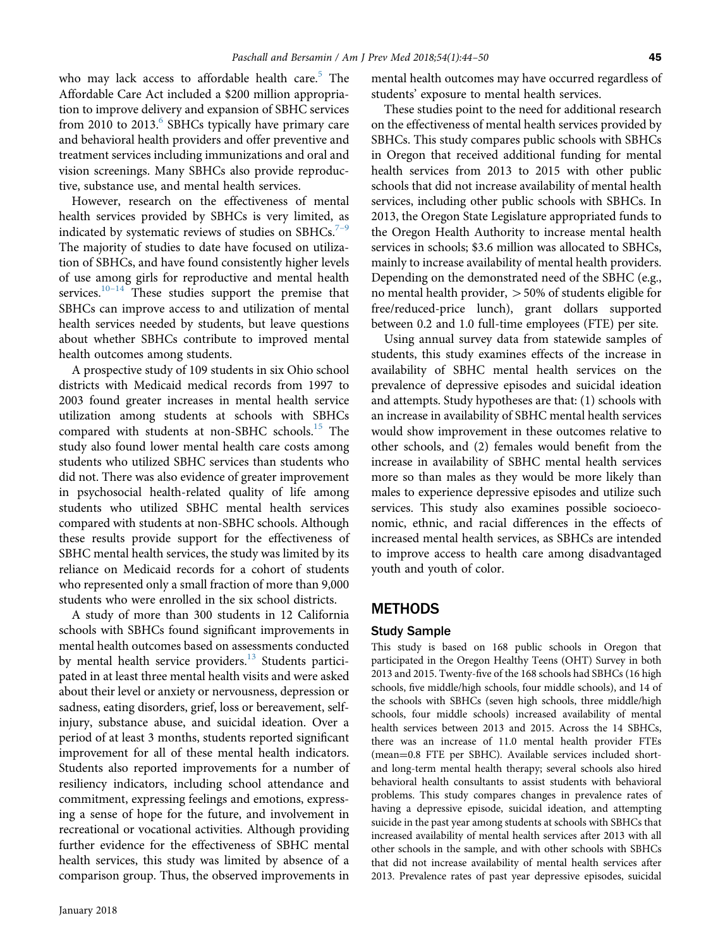who may lack access to affordable health care.<sup>5</sup> The Affordable Care Act included a \$200 million appropriation to improve delivery and expansion of SBHC services from 2010 to  $2013<sup>6</sup>$  SBHCs typically have primary care and behavioral health providers and offer preventive and treatment services including immunizations and oral and vision screenings. Many SBHCs also provide reproductive, substance use, and mental health services.

However, research on the effectiveness of mental health services provided by SBHCs is very limited, as indicated by systematic reviews of studies on SBHCs. $7-9$  $7-9$ The majority of studies to date have focused on utilization of SBHCs, and have found consistently higher levels of use among girls for reproductive and mental health services. $10-14$  $10-14$  These studies support the premise that SBHCs can improve access to and utilization of mental health services needed by students, but leave questions about whether SBHCs contribute to improved mental health outcomes among students.

A prospective study of 109 students in six Ohio school districts with Medicaid medical records from 1997 to 2003 found greater increases in mental health service utilization among students at schools with SBHCs compared with students at non-SBHC schools.<sup>[15](#page-6-0)</sup> The study also found lower mental health care costs among students who utilized SBHC services than students who did not. There was also evidence of greater improvement in psychosocial health-related quality of life among students who utilized SBHC mental health services compared with students at non-SBHC schools. Although these results provide support for the effectiveness of SBHC mental health services, the study was limited by its reliance on Medicaid records for a cohort of students who represented only a small fraction of more than 9,000 students who were enrolled in the six school districts.

A study of more than 300 students in 12 California schools with SBHCs found significant improvements in mental health outcomes based on assessments conducted by mental health service providers.<sup>[13](#page-6-0)</sup> Students participated in at least three mental health visits and were asked about their level or anxiety or nervousness, depression or sadness, eating disorders, grief, loss or bereavement, selfinjury, substance abuse, and suicidal ideation. Over a period of at least 3 months, students reported significant improvement for all of these mental health indicators. Students also reported improvements for a number of resiliency indicators, including school attendance and commitment, expressing feelings and emotions, expressing a sense of hope for the future, and involvement in recreational or vocational activities. Although providing further evidence for the effectiveness of SBHC mental health services, this study was limited by absence of a comparison group. Thus, the observed improvements in

mental health outcomes may have occurred regardless of students' exposure to mental health services.

These studies point to the need for additional research on the effectiveness of mental health services provided by SBHCs. This study compares public schools with SBHCs in Oregon that received additional funding for mental health services from 2013 to 2015 with other public schools that did not increase availability of mental health services, including other public schools with SBHCs. In 2013, the Oregon State Legislature appropriated funds to the Oregon Health Authority to increase mental health services in schools; \$3.6 million was allocated to SBHCs, mainly to increase availability of mental health providers. Depending on the demonstrated need of the SBHC (e.g., no mental health provider,  $>50\%$  of students eligible for free/reduced-price lunch), grant dollars supported between 0.2 and 1.0 full-time employees (FTE) per site.

Using annual survey data from statewide samples of students, this study examines effects of the increase in availability of SBHC mental health services on the prevalence of depressive episodes and suicidal ideation and attempts. Study hypotheses are that: (1) schools with an increase in availability of SBHC mental health services would show improvement in these outcomes relative to other schools, and (2) females would benefit from the increase in availability of SBHC mental health services more so than males as they would be more likely than males to experience depressive episodes and utilize such services. This study also examines possible socioeconomic, ethnic, and racial differences in the effects of increased mental health services, as SBHCs are intended to improve access to health care among disadvantaged youth and youth of color.

#### METHODS

#### Study Sample

This study is based on 168 public schools in Oregon that participated in the Oregon Healthy Teens (OHT) Survey in both 2013 and 2015. Twenty-five of the 168 schools had SBHCs (16 high schools, five middle/high schools, four middle schools), and 14 of the schools with SBHCs (seven high schools, three middle/high schools, four middle schools) increased availability of mental health services between 2013 and 2015. Across the 14 SBHCs, there was an increase of 11.0 mental health provider FTEs (mean=0.8 FTE per SBHC). Available services included shortand long-term mental health therapy; several schools also hired behavioral health consultants to assist students with behavioral problems. This study compares changes in prevalence rates of having a depressive episode, suicidal ideation, and attempting suicide in the past year among students at schools with SBHCs that increased availability of mental health services after 2013 with all other schools in the sample, and with other schools with SBHCs that did not increase availability of mental health services after 2013. Prevalence rates of past year depressive episodes, suicidal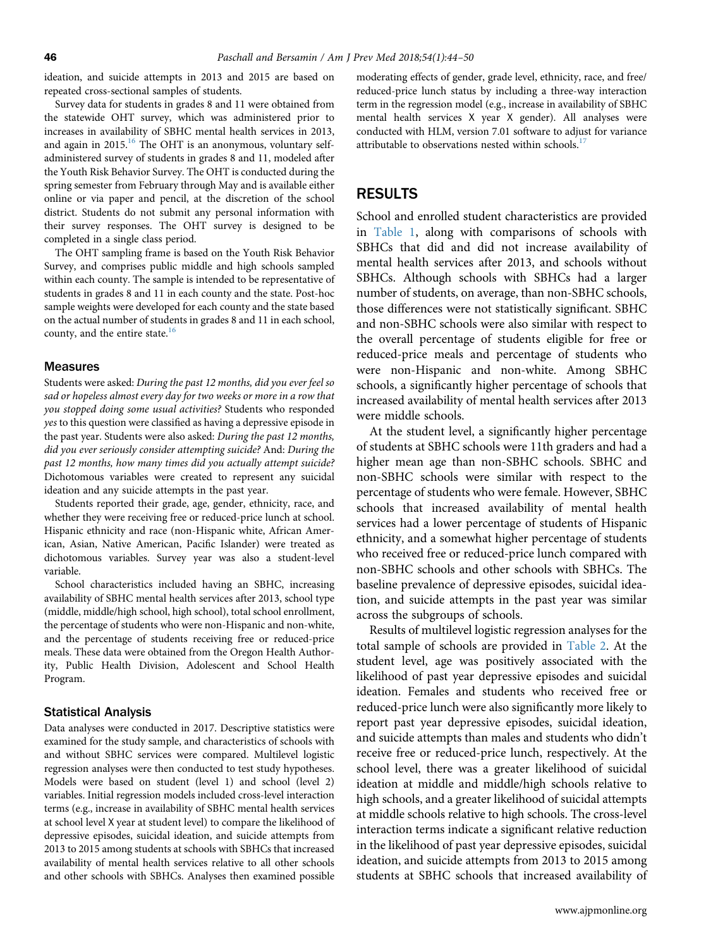ideation, and suicide attempts in 2013 and 2015 are based on repeated cross-sectional samples of students.

Survey data for students in grades 8 and 11 were obtained from the statewide OHT survey, which was administered prior to increases in availability of SBHC mental health services in 2013, and again in  $2015$ .<sup>[16](#page-6-0)</sup> The OHT is an anonymous, voluntary selfadministered survey of students in grades 8 and 11, modeled after the Youth Risk Behavior Survey. The OHT is conducted during the spring semester from February through May and is available either online or via paper and pencil, at the discretion of the school district. Students do not submit any personal information with their survey responses. The OHT survey is designed to be completed in a single class period.

The OHT sampling frame is based on the Youth Risk Behavior Survey, and comprises public middle and high schools sampled within each county. The sample is intended to be representative of students in grades 8 and 11 in each county and the state. Post-hoc sample weights were developed for each county and the state based on the actual number of students in grades 8 and 11 in each school, county, and the entire state.<sup>[16](#page-6-0)</sup>

#### Measures

Students were asked: During the past 12 months, did you ever feel so sad or hopeless almost every day for two weeks or more in a row that you stopped doing some usual activities? Students who responded yes to this question were classified as having a depressive episode in the past year. Students were also asked: During the past 12 months, did you ever seriously consider attempting suicide? And: During the past 12 months, how many times did you actually attempt suicide? Dichotomous variables were created to represent any suicidal ideation and any suicide attempts in the past year.

Students reported their grade, age, gender, ethnicity, race, and whether they were receiving free or reduced-price lunch at school. Hispanic ethnicity and race (non-Hispanic white, African American, Asian, Native American, Pacific Islander) were treated as dichotomous variables. Survey year was also a student-level variable.

School characteristics included having an SBHC, increasing availability of SBHC mental health services after 2013, school type (middle, middle/high school, high school), total school enrollment, the percentage of students who were non-Hispanic and non-white, and the percentage of students receiving free or reduced-price meals. These data were obtained from the Oregon Health Authority, Public Health Division, Adolescent and School Health Program.

#### Statistical Analysis

Data analyses were conducted in 2017. Descriptive statistics were examined for the study sample, and characteristics of schools with and without SBHC services were compared. Multilevel logistic regression analyses were then conducted to test study hypotheses. Models were based on student (level 1) and school (level 2) variables. Initial regression models included cross-level interaction terms (e.g., increase in availability of SBHC mental health services at school level X year at student level) to compare the likelihood of depressive episodes, suicidal ideation, and suicide attempts from 2013 to 2015 among students at schools with SBHCs that increased availability of mental health services relative to all other schools and other schools with SBHCs. Analyses then examined possible moderating effects of gender, grade level, ethnicity, race, and free/ reduced-price lunch status by including a three-way interaction term in the regression model (e.g., increase in availability of SBHC mental health services X year X gender). All analyses were conducted with HLM, version 7.01 software to adjust for variance attributable to observations nested within schools.<sup>[17](#page-6-0)</sup>

## RESULTS

School and enrolled student characteristics are provided in [Table 1](#page-3-0), along with comparisons of schools with SBHCs that did and did not increase availability of mental health services after 2013, and schools without SBHCs. Although schools with SBHCs had a larger number of students, on average, than non-SBHC schools, those differences were not statistically significant. SBHC and non-SBHC schools were also similar with respect to the overall percentage of students eligible for free or reduced-price meals and percentage of students who were non-Hispanic and non-white. Among SBHC schools, a significantly higher percentage of schools that increased availability of mental health services after 2013 were middle schools.

At the student level, a significantly higher percentage of students at SBHC schools were 11th graders and had a higher mean age than non-SBHC schools. SBHC and non-SBHC schools were similar with respect to the percentage of students who were female. However, SBHC schools that increased availability of mental health services had a lower percentage of students of Hispanic ethnicity, and a somewhat higher percentage of students who received free or reduced-price lunch compared with non-SBHC schools and other schools with SBHCs. The baseline prevalence of depressive episodes, suicidal ideation, and suicide attempts in the past year was similar across the subgroups of schools.

Results of multilevel logistic regression analyses for the total sample of schools are provided in [Table 2.](#page-3-0) At the student level, age was positively associated with the likelihood of past year depressive episodes and suicidal ideation. Females and students who received free or reduced-price lunch were also significantly more likely to report past year depressive episodes, suicidal ideation, and suicide attempts than males and students who didn't receive free or reduced-price lunch, respectively. At the school level, there was a greater likelihood of suicidal ideation at middle and middle/high schools relative to high schools, and a greater likelihood of suicidal attempts at middle schools relative to high schools. The cross-level interaction terms indicate a significant relative reduction in the likelihood of past year depressive episodes, suicidal ideation, and suicide attempts from 2013 to 2015 among students at SBHC schools that increased availability of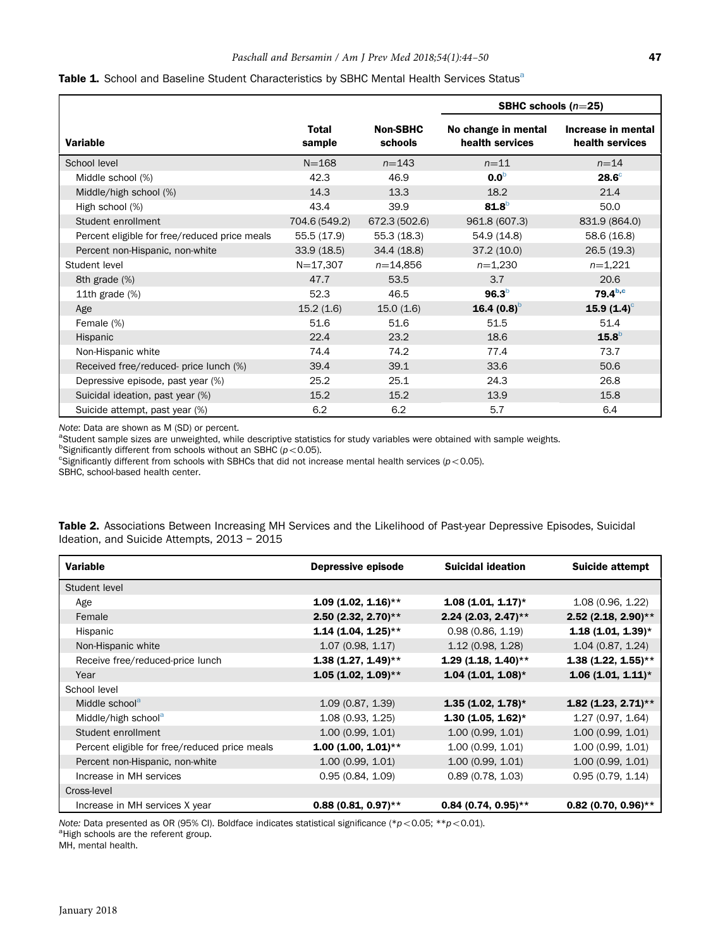<span id="page-3-0"></span>

|  |  | Table 1. School and Baseline Student Characteristics by SBHC Mental Health Services Status <sup>a</sup> |  |  |  |
|--|--|---------------------------------------------------------------------------------------------------------|--|--|--|
|  |  |                                                                                                         |  |  |  |

|                                               |                        |                            | SBHC schools $(n=25)$                  |                                       |  |
|-----------------------------------------------|------------------------|----------------------------|----------------------------------------|---------------------------------------|--|
| <b>Variable</b>                               | <b>Total</b><br>sample | <b>Non-SBHC</b><br>schools | No change in mental<br>health services | Increase in mental<br>health services |  |
| School level                                  | $N = 168$              | $n = 143$                  | $n = 11$                               | $n = 14$                              |  |
| Middle school (%)                             | 42.3                   | 46.9                       | 0.0 <sup>b</sup>                       | $28.6^\circ$                          |  |
| Middle/high school (%)                        | 14.3                   | 13.3                       | 18.2                                   | 21.4                                  |  |
| High school (%)                               | 43.4                   | 39.9                       | 81.8 <sup>b</sup>                      | 50.0                                  |  |
| Student enrollment                            | 704.6 (549.2)          | 672.3 (502.6)              | 961.8 (607.3)                          | 831.9 (864.0)                         |  |
| Percent eligible for free/reduced price meals | 55.5 (17.9)            | 55.3(18.3)                 | 54.9 (14.8)                            | 58.6 (16.8)                           |  |
| Percent non-Hispanic, non-white               | 33.9(18.5)             | 34.4(18.8)                 | 37.2(10.0)                             | 26.5(19.3)                            |  |
| Student level                                 | $N = 17,307$           | $n = 14,856$               | $n=1,230$                              | $n=1,221$                             |  |
| 8th grade (%)                                 | 47.7                   | 53.5                       | 3.7                                    | 20.6                                  |  |
| 11th grade $(\%)$                             | 52.3                   | 46.5                       | 96.3 <sup>b</sup>                      | $79.4^{b,c}$                          |  |
| Age                                           | 15.2(1.6)              | 15.0(1.6)                  | 16.4 $(0.8)^{D}$                       | 15.9 $(1.4)^{\circ}$                  |  |
| Female (%)                                    | 51.6                   | 51.6                       | 51.5                                   | 51.4                                  |  |
| Hispanic                                      | 22.4                   | 23.2                       | 18.6                                   | $15.8^{\circ}$                        |  |
| Non-Hispanic white                            | 74.4                   | 74.2                       | 77.4                                   | 73.7                                  |  |
| Received free/reduced- price lunch (%)        | 39.4                   | 39.1                       | 33.6                                   | 50.6                                  |  |
| Depressive episode, past year (%)             | 25.2                   | 25.1                       | 24.3                                   | 26.8                                  |  |
| Suicidal ideation, past year (%)              | 15.2                   | 15.2                       | 13.9                                   | 15.8                                  |  |
| Suicide attempt, past year (%)                | 6.2                    | 6.2                        | 5.7                                    | 6.4                                   |  |

Note: Data are shown as M (SD) or percent.

<sup>a</sup>Student sample sizes are unweighted, while descriptive statistics for study variables were obtained with sample weights.

 $b$ Significantly different from schools without an SBHC ( $p < 0.05$ ).  $c$ Significantly different from schools with SBHCs that did not incurrent

 $\textdegree$ Significantly different from schools with SBHCs that did not increase mental health services (p<0.05).

SBHC, school-based health center.

Table 2. Associations Between Increasing MH Services and the Likelihood of Past-year Depressive Episodes, Suicidal Ideation, and Suicide Attempts, 2013 – 2015

| <b>Variable</b>                               | Depressive episode       | <b>Suicidal ideation</b>         | Suicide attempt       |
|-----------------------------------------------|--------------------------|----------------------------------|-----------------------|
| Student level                                 |                          |                                  |                       |
| Age                                           | $1.09$ (1.02, 1.16)**    | $1.08$ (1.01, 1.17) <sup>*</sup> | 1.08(0.96, 1.22)      |
| Female                                        | $2.50$ (2.32, 2.70)**    | $2.24$ (2.03, 2.47)**            | $2.52$ (2.18, 2.90)** |
| Hispanic                                      | $1.14$ (1.04, 1.25)**    | 0.98(0.86, 1.19)                 | $1.18$ (1.01, 1.39)*  |
| Non-Hispanic white                            | 1.07(0.98, 1.17)         | 1.12(0.98, 1.28)                 | 1.04(0.87, 1.24)      |
| Receive free/reduced-price lunch              | $1.38$ (1.27, 1.49)**    | $1.29$ (1.18, 1.40)**            | $1.38$ (1.22, 1.55)** |
| Year                                          | $1.05$ (1.02, 1.09)**    | $1.04$ (1.01, 1.08)*             | $1.06$ (1.01, 1.11)*  |
| School level                                  |                          |                                  |                       |
| Middle school <sup>a</sup>                    | 1.09(0.87, 1.39)         | $1.35(1.02, 1.78)$ *             | $1.82$ (1.23, 2.71)** |
| Middle/high school <sup>a</sup>               | 1.08(0.93, 1.25)         | $1.30$ (1.05, 1.62) <sup>*</sup> | 1.27(0.97, 1.64)      |
| Student enrollment                            | 1.00(0.99, 1.01)         | 1.00(0.99, 1.01)                 | 1.00(0.99, 1.01)      |
| Percent eligible for free/reduced price meals | $1.00$ (1.00, $1.01$ )** | 1.00(0.99, 1.01)                 | 1.00(0.99, 1.01)      |
| Percent non-Hispanic, non-white               | 1.00(0.99, 1.01)         | 1.00(0.99, 1.01)                 | 1.00(0.99, 1.01)      |
| Increase in MH services                       | 0.95(0.84, 1.09)         | 0.89(0.78, 1.03)                 | 0.95(0.79, 1.14)      |
| Cross-level                                   |                          |                                  |                       |
| Increase in MH services X year                | $0.88$ (0.81, 0.97)**    | $0.84$ (0.74, 0.95)**            | $0.82$ (0.70, 0.96)** |

Note: Data presented as OR (95% CI). Boldface indicates statistical significance (\*p<0.05; \*\*p<0.01).<br><sup>a</sup>High schools are the referent group.

MH, mental health.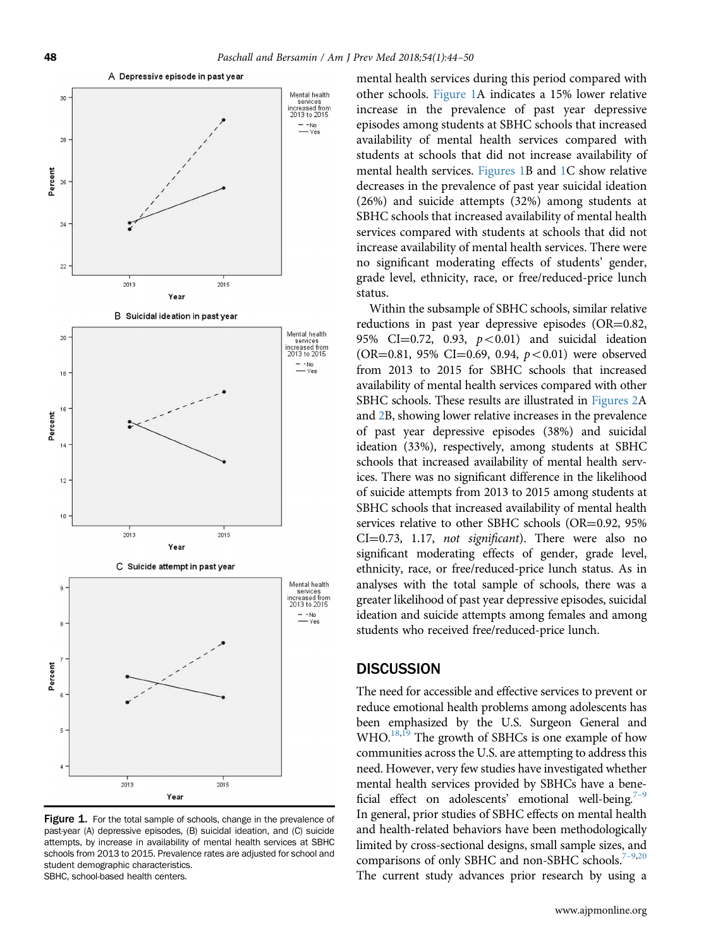

Figure 1. For the total sample of schools, change in the prevalence of past-year (A) depressive episodes, (B) suicidal ideation, and (C) suicide attempts, by increase in availability of mental health services at SBHC schools from 2013 to 2015. Prevalence rates are adjusted for school and student demographic characteristics. SBHC, school-based health centers.

mental health services during this period compared with other schools. Figure 1A indicates a 15% lower relative increase in the prevalence of past year depressive episodes among students at SBHC schools that increased availability of mental health services compared with students at schools that did not increase availability of mental health services. Figures 1B and 1C show relative decreases in the prevalence of past year suicidal ideation (26%) and suicide attempts (32%) among students at SBHC schools that increased availability of mental health services compared with students at schools that did not increase availability of mental health services. There were no significant moderating effects of students' gender, grade level, ethnicity, race, or free/reduced-price lunch status.

Within the subsample of SBHC schools, similar relative reductions in past year depressive episodes ( $OR=0.82$ , 95% CI=0.72, 0.93,  $p < 0.01$ ) and suicidal ideation (OR=0.81, 95% CI=0.69, 0.94,  $p < 0.01$ ) were observed from 2013 to 2015 for SBHC schools that increased availability of mental health services compared with other SBHC schools. These results are illustrated in [Figures 2A](#page-5-0) and [2B](#page-5-0), showing lower relative increases in the prevalence of past year depressive episodes (38%) and suicidal ideation (33%), respectively, among students at SBHC schools that increased availability of mental health services. There was no significant difference in the likelihood of suicide attempts from 2013 to 2015 among students at SBHC schools that increased availability of mental health services relative to other SBHC schools (OR=0.92, 95%)  $CI=0.73$ , 1.17, not significant). There were also no significant moderating effects of gender, grade level, ethnicity, race, or free/reduced-price lunch status. As in analyses with the total sample of schools, there was a greater likelihood of past year depressive episodes, suicidal ideation and suicide attempts among females and among students who received free/reduced-price lunch.

## **DISCUSSION**

The need for accessible and effective services to prevent or reduce emotional health problems among adolescents has been emphasized by the U.S. Surgeon General and  $WHO<sup>18,19</sup>$  $WHO<sup>18,19</sup>$  $WHO<sup>18,19</sup>$  $WHO<sup>18,19</sup>$  $WHO<sup>18,19</sup>$  The growth of SBHCs is one example of how communities across the U.S. are attempting to address this need. However, very few studies have investigated whether mental health services provided by SBHCs have a beneficial effect on adolescents' emotional well-being. $7-9$  $7-9$ In general, prior studies of SBHC effects on mental health and health-related behaviors have been methodologically limited by cross-sectional designs, small sample sizes, and comparisons of only SBHC and non-SBHC schools.<sup>[7](#page-6-0)-[9,20](#page-6-0)</sup> The current study advances prior research by using a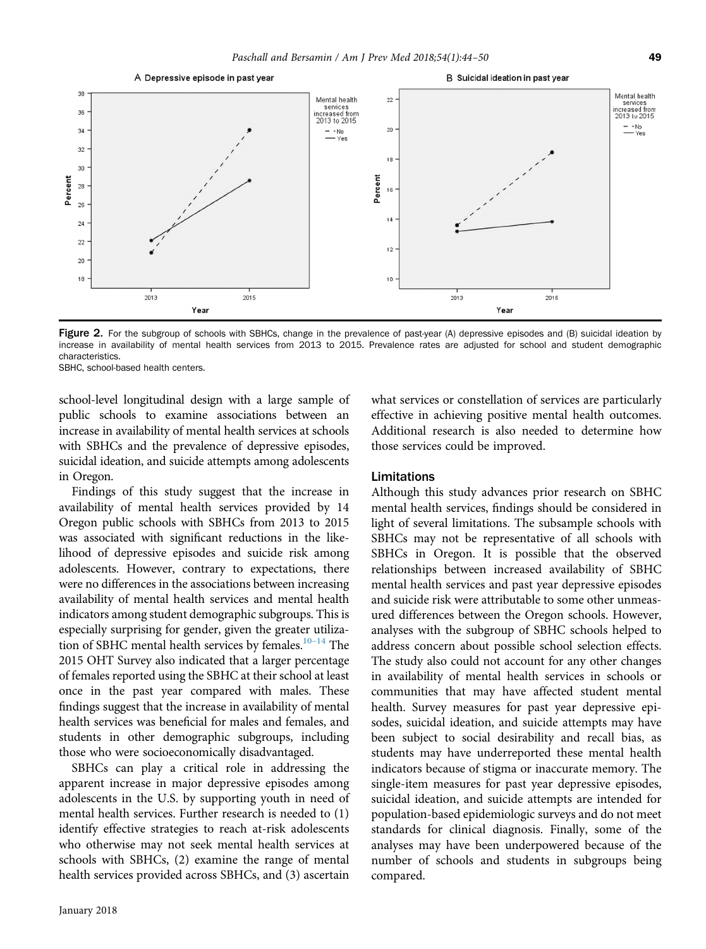<span id="page-5-0"></span>

Figure 2. For the subgroup of schools with SBHCs, change in the prevalence of past-year (A) depressive episodes and (B) suicidal ideation by increase in availability of mental health services from 2013 to 2015. Prevalence rates are adjusted for school and student demographic characteristics.

SBHC, school-based health centers.

school-level longitudinal design with a large sample of public schools to examine associations between an increase in availability of mental health services at schools with SBHCs and the prevalence of depressive episodes, suicidal ideation, and suicide attempts among adolescents in Oregon.

Findings of this study suggest that the increase in availability of mental health services provided by 14 Oregon public schools with SBHCs from 2013 to 2015 was associated with significant reductions in the likelihood of depressive episodes and suicide risk among adolescents. However, contrary to expectations, there were no differences in the associations between increasing availability of mental health services and mental health indicators among student demographic subgroups. This is especially surprising for gender, given the greater utiliza-tion of SBHC mental health services by females.<sup>10-[14](#page-6-0)</sup> The 2015 OHT Survey also indicated that a larger percentage of females reported using the SBHC at their school at least once in the past year compared with males. These findings suggest that the increase in availability of mental health services was beneficial for males and females, and students in other demographic subgroups, including those who were socioeconomically disadvantaged.

SBHCs can play a critical role in addressing the apparent increase in major depressive episodes among adolescents in the U.S. by supporting youth in need of mental health services. Further research is needed to (1) identify effective strategies to reach at-risk adolescents who otherwise may not seek mental health services at schools with SBHCs, (2) examine the range of mental health services provided across SBHCs, and (3) ascertain

January 2018

what services or constellation of services are particularly effective in achieving positive mental health outcomes. Additional research is also needed to determine how those services could be improved.

#### Limitations

Although this study advances prior research on SBHC mental health services, findings should be considered in light of several limitations. The subsample schools with SBHCs may not be representative of all schools with SBHCs in Oregon. It is possible that the observed relationships between increased availability of SBHC mental health services and past year depressive episodes and suicide risk were attributable to some other unmeasured differences between the Oregon schools. However, analyses with the subgroup of SBHC schools helped to address concern about possible school selection effects. The study also could not account for any other changes in availability of mental health services in schools or communities that may have affected student mental health. Survey measures for past year depressive episodes, suicidal ideation, and suicide attempts may have been subject to social desirability and recall bias, as students may have underreported these mental health indicators because of stigma or inaccurate memory. The single-item measures for past year depressive episodes, suicidal ideation, and suicide attempts are intended for population-based epidemiologic surveys and do not meet standards for clinical diagnosis. Finally, some of the analyses may have been underpowered because of the number of schools and students in subgroups being compared.